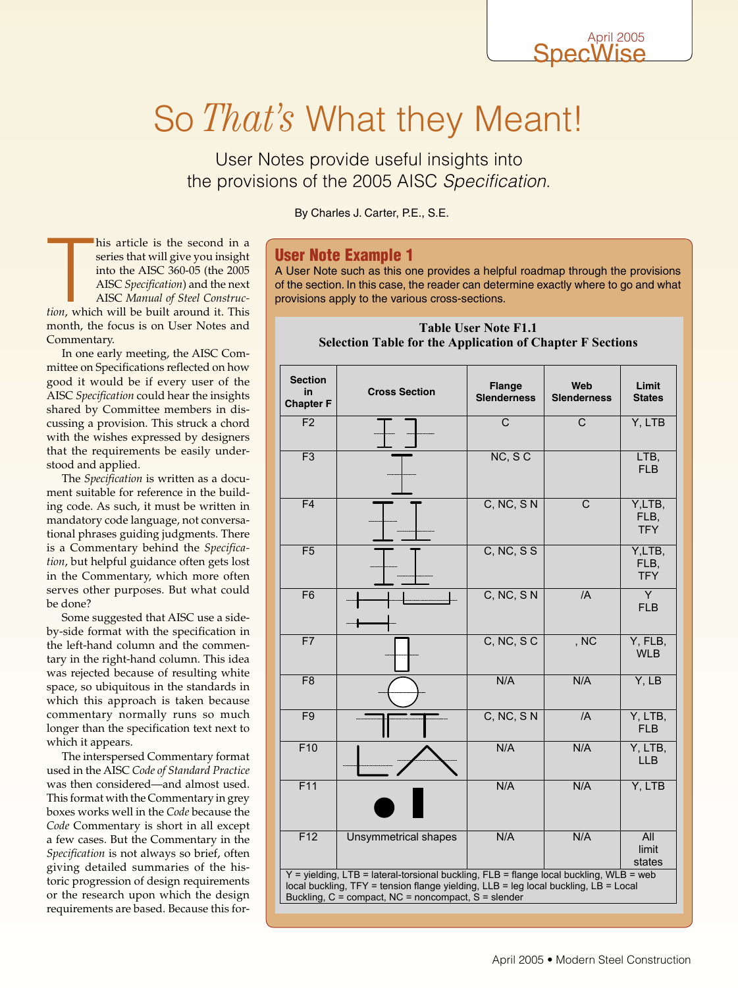# So *That's* What they Meant!

User Notes provide useful insights into the provisions of the 2005 AISC Specification.

By Charles J. Carter, P.E., S.E.

## User Note Example 1

A User Note such as this one provides a helpful roadmap through the provisions of the section. In this case, the reader can determine exactly where to go and what provisions apply to the various cross-sections.

# **the second in a**<br>**exist start will give you insight**<br>**into the AISC 360-05 (the 2005**<br>AISC *Specification*) and the next<br>AISC *Manual of Steel Construc-*<br>tion, which will be built around it. This series that will give you insight into the AISC 360-05 (the 2005 AISC *Specification*) and the next AISC *Manual of Steel Construc*month, the focus is on User Notes and Commentary.

his article is the second in a

In one early meeting, the AISC Committee on Specifications reflected on how good it would be if every user of the AISC *Specification* could hear the insights shared by Committee members in discussing a provision. This struck a chord with the wishes expressed by designers that the requirements be easily understood and applied.

The *Specification* is written as a document suitable for reference in the building code. As such, it must be written in mandatory code language, not conversational phrases guiding judgments. There is a Commentary behind the *Specification*, but helpful guidance often gets lost in the Commentary, which more often serves other purposes. But what could be done?

Some suggested that AISC use a sideby-side format with the specification in the left-hand column and the commentary in the right-hand column. This idea was rejected because of resulting white space, so ubiquitous in the standards in which this approach is taken because commentary normally runs so much longer than the specification text next to which it appears.

The interspersed Commentary format used in the AISC *Code of Standard Practice* was then considered—and almost used. This format with the Commentary in grey boxes works well in the *Code* because the *Code* Commentary is short in all except a few cases. But the Commentary in the *Specification* is not always so brief, often giving detailed summaries of the historic progression of design requirements or the research upon which the design requirements are based. Because this for-

### **Table User Note F1.1 Selection Table for the Application of Chapter F Sections**

| <b>Section</b><br>in.<br><b>Chapter F</b>                                                                                                                                                                                            | <b>Cross Section</b>        | <b>Flange</b><br><b>Slenderness</b> | Web<br><b>Slenderness</b> | Limit<br><b>States</b>       |
|--------------------------------------------------------------------------------------------------------------------------------------------------------------------------------------------------------------------------------------|-----------------------------|-------------------------------------|---------------------------|------------------------------|
| F <sub>2</sub>                                                                                                                                                                                                                       |                             | $\overline{\text{c}}$               | $\overline{\mathrm{c}}$   | Y, LTB                       |
| $\overline{F3}$                                                                                                                                                                                                                      |                             | NC, SC                              |                           | LTB,<br><b>FLB</b>           |
| F <sub>4</sub>                                                                                                                                                                                                                       |                             | C, NC, SN                           | $\overline{C}$            | Y,LTB,<br>FLB.<br><b>TFY</b> |
| $\overline{F5}$                                                                                                                                                                                                                      |                             | C, NC, S S                          |                           | Y,LTB,<br>FLB,<br><b>TFY</b> |
| F <sub>6</sub>                                                                                                                                                                                                                       |                             | C, NC, SN                           | $\overline{A}$            | Y.<br><b>FLB</b>             |
| F7                                                                                                                                                                                                                                   |                             | $C, NC, S$ $C$                      | , NC                      | Y, FLB,<br><b>WLB</b>        |
| F <sub>8</sub>                                                                                                                                                                                                                       |                             | N/A                                 | N/A                       | Y, LB                        |
| F <sub>9</sub>                                                                                                                                                                                                                       |                             | C, NC, SN                           | /A                        | Y, LTB,<br><b>FLB</b>        |
| F10                                                                                                                                                                                                                                  |                             | N/A                                 | N/A                       | Y, LTB,<br><b>LLB</b>        |
| F11                                                                                                                                                                                                                                  |                             | N/A                                 | N/A                       | Y, LTB                       |
| F12                                                                                                                                                                                                                                  | <b>Unsymmetrical shapes</b> | N/A                                 | N/A                       | All<br>limit<br>states       |
| Y = yielding, LTB = lateral-torsional buckling, FLB = flange local buckling, WLB = web<br>local buckling, TFY = tension flange yielding, LLB = leg local buckling, LB = Local<br>Buckling, C = compact, NC = noncompact, S = slender |                             |                                     |                           |                              |